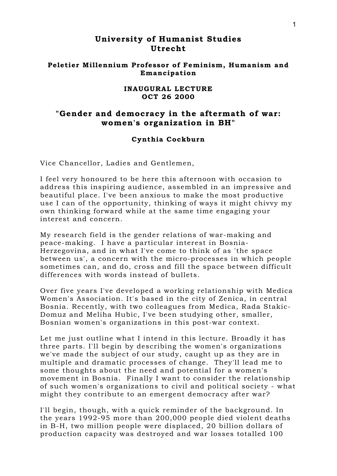# **University of Humanist Studies Utrecht**

### **Peletier Millennium Professor of Feminism, Humanism and Emancipation**

#### **INAUGURAL LECTURE OCT 26 2000**

## **"Gender and democracy in the aftermath of war: women's organization in BH"**

### **Cynthia Cockburn**

Vice Chancellor, Ladies and Gentlemen,

I feel very honoured to be here this afternoon with occasion to address this inspiring audience, assembled in an impressive and beautiful place. I've been anxious to make the most productive use I can of the opportunity, thinking of ways it might chivvy my own thinking forward while at the same time engaging your interest and concern.

My research field is the gender relations of war-making and peace-making. I have a particular interest in Bosnia-Herzegovina, and in what I've come to think of as 'the space between us', a concern with the micro-processes in which people sometimes can, and do, cross and fill the space between difficult differences with words instead of bullets.

Over five years I've developed a working relationship with Medica Women's Association. It's based in the city of Zenica, in central Bosnia. Recently, with two colleagues from Medica, Rada Stakic-Domuz and Meliha Hubic, I've been studying other, smaller, Bosnian women's organizations in this post-war context.

Let me just outline what I intend in this lecture. Broadly it has three parts. I'll begin by describing the women's organizations we've made the subject of our study, caught up as they are in multiple and dramatic processes of change. They'll lead me to some thoughts about the need and potential for a women's movement in Bosnia. Finally I want to consider the relationship of such women's organizations to civil and political society - what might they contribute to an emergent democracy after war?

I'll begin, though, with a quick reminder of the background. In the years 1992-95 more than 200,000 people died violent deaths in B-H, two million people were displaced, 20 billion dollars of production capacity was destroyed and war losses totalled 100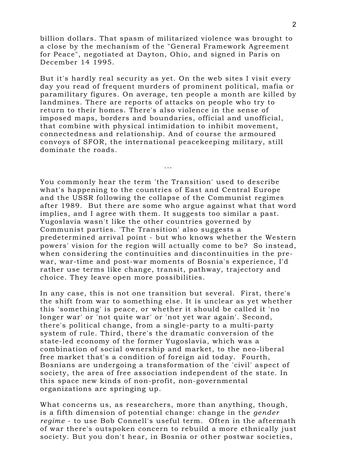billion dollars. That spasm of militarized violence was brought to a close by the mechanism of the "General Framework Agreement for Peace", negotiated at Dayton, Ohio, and signed in Paris on December 14 1995.

But it's hardly real security as yet. On the web sites I visit every day you read of frequent murders of prominent political, mafia or paramilitary figures. On average, ten people a month are killed by landmines. There are reports of attacks on people who try to return to their homes. There's also violence in the sense of imposed maps, borders and boundaries, official and unofficial, that combine with physical intimidation to inhibit movement, connectedness and relationship. And of course the armoured convoys of SFOR, the international peacekeeping military, still dominate the roads.

...

You commonly hear the term 'the Transition' used to describe what's happening to the countries of East and Central Europe and the USSR following the collapse of the Communist regimes after 1989. But there are some who argue against what that word implies, and I agree with them. It suggests too similar a past. Yugoslavia wasn't like the other countries governed by Communist parties. 'The Transition' also suggests a predetermined arrival point - but who knows whether the Western powers' vision for the region will actually come to be? So instead, when considering the continuities and discontinuities in the prewar, war-time and post-war moments of Bosnia's experience, I'd rather use terms like change, transit, pathway, trajectory and choice. They leave open more possibilities.

In any case, this is not one transition but several. First, there's the shift from war to something else. It is unclear as yet whether this 'something' is peace, or whether it should be called it 'no longer war' or 'not quite war' or 'not yet war again'. Second, there's political change, from a single-party to a multi-party system of rule. Third, there's the dramatic conversion of the state-led economy of the former Yugoslavia, which was a combination of social ownership and market, to the neo-liberal free market that's a condition of foreign aid today. Fourth, Bosnians are undergoing a transformation of the 'civil' aspect of society, the area of free association independent of the state. In this space new kinds of non-profit, non-governmental organizations are springing up.

What concerns us, as researchers, more than anything, though, is a fifth dimension of potential change: change in the *gender regime* - to use Bob Connell's useful term. Often in the aftermath of war there's outspoken concern to rebuild a more ethnically just society. But you don't hear, in Bosnia or other postwar societies,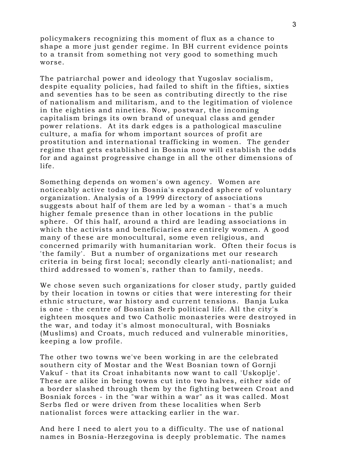policymakers recognizing this moment of flux as a chance to shape a more just gender regime. In BH current evidence points to a transit from something not very good to something much worse.

The patriarchal power and ideology that Yugoslav socialism, despite equality policies, had failed to shift in the fifties, sixties and seventies has to be seen as contributing directly to the rise of nationalism and militarism, and to the legitimation of violence in the eighties and nineties. Now, postwar, the incoming capitalism brings its own brand of unequal class and gender power relations. At its dark edges is a pathological masculine culture, a mafia for whom important sources of profit are prostitution and international trafficking in women. The gender regime that gets established in Bosnia now will establish the odds for and against progressive change in all the other dimensions of life.

Something depends on women's own agency. Women are noticeably active today in Bosnia's expanded sphere of voluntary organization. Analysis of a 1999 directory of associations suggests about half of them are led by a woman - that's a much higher female presence than in other locations in the public sphere. Of this half, around a third are leading associations in which the activists and beneficiaries are entirely women. A good many of these are monocultural, some even religious, and concerned primarily with humanitarian work. Often their focus is 'the family'. But a number of organizations met our research criteria in being first local; secondly clearly anti-nationalist; and third addressed to women's, rather than to family, needs.

We chose seven such organizations for closer study, partly guided by their location in towns or cities that were interesting for their ethnic structure, war history and current tensions. Banja Luka is one - the centre of Bosnian Serb political life. All the city's eighteen mosques and two Catholic monasteries were destroyed in the war, and today it's almost monocultural, with Bosniaks (Muslims) and Croats, much reduced and vulnerable minorities, keeping a low profile.

The other two towns we've been working in are the celebrated southern city of Mostar and the West Bosnian town of Gornji Vakuf - that its Croat inhabitants now want to call 'Uskoplje'. These are alike in being towns cut into two halves, either side of a border slashed through them by the fighting between Croat and Bosniak forces - in the "war within a war" as it was called. Most Serbs fled or were driven from these localities when Serb nationalist forces were attacking earlier in the war.

And here I need to alert you to a difficulty. The use of national names in Bosnia-Herzegovina is deeply problematic. The names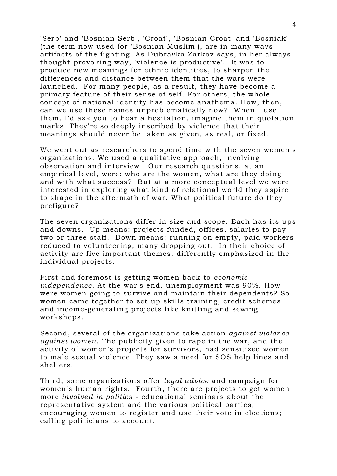'Serb' and 'Bosnian Serb', 'Croat', 'Bosnian Croat' and 'Bosniak' (the term now used for 'Bosnian Muslim'), are in many ways artifacts of the fighting. As Dubravka Zarkov says, in her always thought-provoking way, 'violence is productive'. It was to produce new meanings for ethnic identities, to sharpen the differences and distance between them that the wars were launched. For many people, as a result, they have become a primary feature of their sense of self. For others, the whole concept of national identity has become anathema. How, then, can we use these names unproblematically now? When I use them, I'd ask you to hear a hesitation, imagine them in quotation marks. They're so deeply inscribed by violence that their meanings should never be taken as given, as real, or fixed.

We went out as researchers to spend time with the seven women's organizations. We used a qualitative approach, involving observation and interview. Our research questions, at an empirical level, were: who are the women, what are they doing and with what success? But at a more conceptual level we were interested in exploring what kind of relational world they aspire to shape in the aftermath of war. What political future do they prefigure?

The seven organizations differ in size and scope. Each has its ups and downs. Up means: projects funded, offices, salaries to pay two or three staff. Down means: running on empty, paid workers reduced to volunteering, many dropping out. In their choice of activity are five important themes, differently emphasized in the individual projects.

First and foremost is getting women back to *economic independence.* At the war's end, unemployment was 90%. How were women going to survive and maintain their dependents? So women came together to set up skills training, credit schemes and income-generating projects like knitting and sewing workshops.

Second, several of the organizations take action *against violence against women*. The publicity given to rape in the war, and the activity of women's projects for survivors, had sensitized women to male sexual violence. They saw a need for SOS help lines and shelters.

Third, some organizations offer *legal advice* and campaign for women's human rights. Fourth, there are projects to get women more *involved in politics* - educational seminars about the representative system and the various political parties; encouraging women to register and use their vote in elections; calling politicians to account.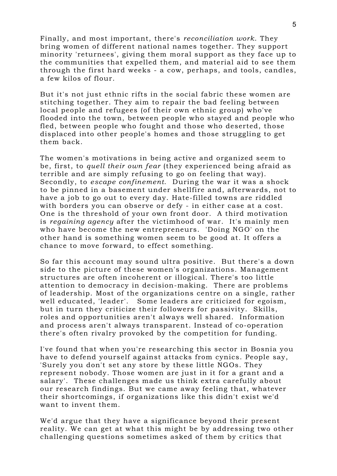Finally, and most important, there's *reconciliation work*. They bring women of different national names together. They support minority 'returnees', giving them moral support as they face up to the communities that expelled them, and material aid to see them through the first hard weeks - a cow, perhaps, and tools, candles, a few kilos of flour.

But it's not just ethnic rifts in the social fabric these women are stitching together. They aim to repair the bad feeling between local people and refugees (of their own ethnic group) who've flooded into the town, between people who stayed and people who fled, between people who fought and those who deserted, those displaced into other people's homes and those struggling to get them back.

The women's motivations in being active and organized seem to be, first, to *quell their own fear* (they experienced being afraid as terrible and are simply refusing to go on feeling that way). Secondly, to *escape confinement*. During the war it was a shock to be pinned in a basement under shellfire and, afterwards, not to have a job to go out to every day. Hate-filled towns are riddled with borders you can observe or defy - in either case at a cost. One is the threshold of your own front door. A third motivation is *regaining agency* after the victimhood of war. It's mainly men who have become the new entrepreneurs. 'Doing NGO' on the other hand is something women seem to be good at. It offers a chance to move forward, to effect something.

So far this account may sound ultra positive. But there's a down side to the picture of these women's organizations. Management structures are often incoherent or illogical. There's too little attention to democracy in decision-making. There are problems of leadership. Most of the organizations centre on a single, rather well educated, 'leader'. Some leaders are criticized for egoism, but in turn they criticize their followers for passivity. Skills, roles and opportunities aren't always well shared. Information and process aren't always transparent. Instead of co-operation there's often rivalry provoked by the competition for funding.

I've found that when you're researching this sector in Bosnia you have to defend yourself against attacks from cynics. People say, 'Surely you don't set any store by these little NGOs. They represent nobody. Those women are just in it for a grant and a salary'. These challenges made us think extra carefully about our research findings. But we came away feeling that, whatever their shortcomings, if organizations like this didn't exist we'd want to invent them.

We'd argue that they have a significance beyond their present reality. We can get at what this might be by addressing two other challenging questions sometimes asked of them by critics that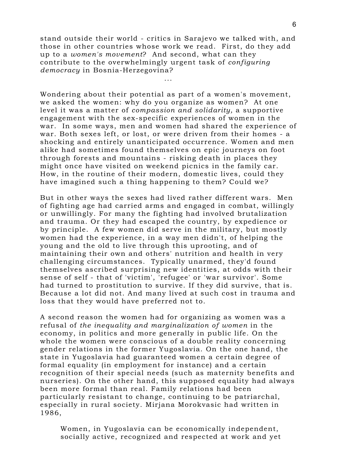stand outside their world - critics in Sarajevo we talked with, and those in other countries whose work we read. First, do they add up to a *women's movement*? And second, what can they contribute to the overwhelmingly urgent task of *configuring democracy* in Bosnia-Herzegovina?

...

Wondering about their potential as part of a women's movement, we asked the women: why do you organize as women? At one level it was a matter of *compassion and solidarity,* a supportive engagement with the sex-specific experiences of women in the war. In some ways, men and women had shared the experience of war. Both sexes left, or lost, or were driven from their homes - a shocking and entirely unanticipated occurrence. Women and men alike had sometimes found themselves on epic journeys on foot through forests and mountains - risking death in places they might once have visited on weekend picnics in the family car. How, in the routine of their modern, domestic lives, could they have imagined such a thing happening to them? Could we?

But in other ways the sexes had lived rather different wars. Men of fighting age had carried arms and engaged in combat, willingly or unwillingly. For many the fighting had involved brutalization and trauma. Or they had escaped the country, by expedience or by principle. A few women did serve in the military, but mostly women had the experience, in a way men didn't, of helping the young and the old to live through this uprooting, and of maintaining their own and others' nutrition and health in very challenging circumstances. Typically unarmed, they'd found themselves ascribed surprising new identities, at odds with their sense of self - that of 'victim', 'refugee' or 'war survivor'. Some had turned to prostitution to survive. If they did survive, that is. Because a lot did not. And many lived at such cost in trauma and loss that they would have preferred not to.

A second reason the women had for organizing as women was a refusal of *the inequality and marginalization of women* in the economy, in politics and more generally in public life. On the whole the women were conscious of a double reality concerning gender relations in the former Yugoslavia. On the one hand, the state in Yugoslavia had guaranteed women a certain degree of formal equality (in employment for instance) and a certain recognition of their special needs (such as maternity benefits and nurseries). On the other hand, this supposed equality had always been more formal than real. Family relations had been particularly resistant to change, continuing to be patriarchal, especially in rural society. Mirjana Morokvasic had written in 1986,

Women, in Yugoslavia can be economically independent, socially active, recognized and respected at work and yet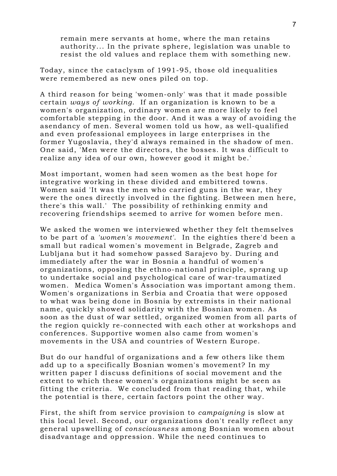remain mere servants at home, where the man retains authority... In the private sphere, legislation was unable to resist the old values and replace them with something new.

Today, since the cataclysm of 1991-95, those old inequalities were remembered as new ones piled on top.

A third reason for being 'women-only' was that it made possible certain *ways of working*. If an organization is known to be a women's organization, ordinary women are more likely to feel comfortable stepping in the door. And it was a way of avoiding the asendancy of men. Several women told us how, as well-qualified and even professional employees in large enterprises in the former Yugoslavia, they'd always remained in the shadow of men. One said, 'Men were the directors, the bosses. It was difficult to realize any idea of our own, however good it might be.'

Most important, women had seen women as the best hope for integrative working in these divided and embittered towns. Women said 'It was the men who carried guns in the war, they were the ones directly involved in the fighting. Between men here, there's this wall.' The possibility of rethinking enmity and recovering friendships seemed to arrive for women before men.

We asked the women we interviewed whether they felt themselves to be part of a *'women's movement'*. In the eighties there'd been a small but radical women's movement in Belgrade, Zagreb and Lubljana but it had somehow passed Sarajevo by. During and immediately after the war in Bosnia a handful of women's organizations, opposing the ethno-national principle, sprang up to undertake social and psychological care of war-traumatized women. Medica Women's Association was important among them. Women's organizations in Serbia and Croatia that were opposed to what was being done in Bosnia by extremists in their national name, quickly showed solidarity with the Bosnian women. As soon as the dust of war settled, organized women from all parts of the region quickly re-connected with each other at workshops and conferences. Supportive women also came from women's movements in the USA and countries of Western Europe.

But do our handful of organizations and a few others like them add up to a specifically Bosnian women's movement? In my written paper I discuss definitions of social movement and the extent to which these women's organizations might be seen as fitting the criteria. We concluded from that reading that, while the potential is there, certain factors point the other way.

First, the shift from service provision to *campaigning* is slow at this local level. Second, our organizations don't really reflect any general upswelling of *consciousness* among Bosnian women about disadvantage and oppression. While the need continues to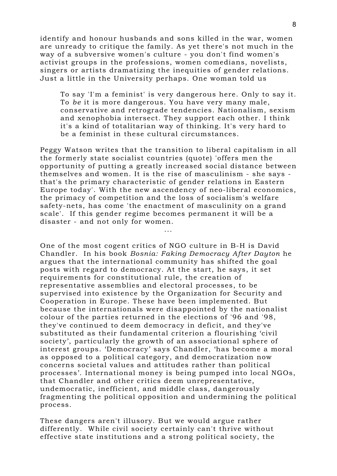identify and honour husbands and sons killed in the war, women are unready to critique the family. As yet there's not much in the way of a subversive women's culture - you don't find women's activist groups in the professions, women comedians, novelists, singers or artists dramatizing the inequities of gender relations. Just a little in the University perhaps. One woman told us

To say 'I'm a feminist' is very dangerous here. Only to say it. To *be* it is more dangerous. You have very many male, conservative and retrograde tendencies. Nationalism, sexism and xenophobia intersect. They support each other. I think it's a kind of totalitarian way of thinking. It's very hard to be a feminist in these cultural circumstances.

Peggy Watson writes that the transition to liberal capitalism in all the formerly state socialist countries (quote) 'offers men the opportunity of putting a greatly increased social distance between themselves and women. It is the rise of masculinism - she says that's the primary characteristic of gender relations in Eastern Europe today'. With the new ascendency of neo-liberal economics, the primacy of competition and the loss of socialism's welfare safety-nets, has come 'the enactment of masculinity on a grand scale'. If this gender regime becomes permanent it will be a disaster - and not only for women.

...

One of the most cogent critics of NGO culture in B-H is David Chandler. In his book *Bosnia: Faking Democracy After Dayton* he argues that the international community has shifted the goal posts with regard to democracy. At the start, he says, it set requirements for constitutional rule, the creation of representative assemblies and electoral processes, to be supervised into existence by the Organization for Security and Cooperation in Europe. These have been implemented. But because the internationals were disappointed by the nationalist colour of the parties returned in the elections of '96 and '98, they've continued to deem democracy in deficit, and they've substituted as their fundamental criterion a flourishing 'civil society', particularly the growth of an associational sphere of interest groups. 'Democracy' says Chandler, 'has become a moral as opposed to a political category, and democratization now concerns societal values and attitudes rather than political processes'. International money is being pumped into local NGOs, that Chandler and other critics deem unrepresentative, undemocratic, inefficient, and middle class, dangerously fragmenting the political opposition and undermining the political process.

These dangers aren't illusory. But we would argue rather differently. While civil society certainly can't thrive without effective state institutions and a strong political society, the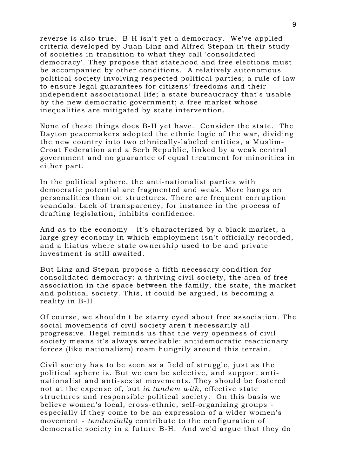reverse is also true. B-H isn't yet a democracy. We've applied criteria developed by Juan Linz and Alfred Stepan in their study of societies in transition to what they call 'consolidated democracy'. They propose that statehood and free elections must be accompanied by other conditions. A relatively autonomous political society involving respected political parties; a rule of law to ensure legal guarantees for citizens' freedoms and their independent associational life; a state bureaucracy that's usable by the new democratic government; a free market whose inequalities are mitigated by state intervention.

None of these things does B-H yet have. Consider the state. The Dayton peacemakers adopted the ethnic logic of the war, dividing the new country into two ethnically-labeled entities, a Muslim-Croat Federation and a Serb Republic, linked by a weak central government and no guarantee of equal treatment for minorities in either part.

In the political sphere, the anti-nationalist parties with democratic potential are fragmented and weak. More hangs on personalities than on structures. There are frequent corruption scandals. Lack of transparency, for instance in the process of drafting legislation, inhibits confidence.

And as to the economy - it's characterized by a black market, a large grey economy in which employment isn't officially recorded, and a hiatus where state ownership used to be and private investment is still awaited.

But Linz and Stepan propose a fifth necessary condition for consolidated democracy: a thriving civil society, the area of free association in the space between the family, the state, the market and political society. This, it could be argued, is becoming a reality in B-H.

Of course, we shouldn't be starry eyed about free association. The social movements of civil society aren't necessarily all progressive. Hegel reminds us that the very openness of civil society means it's always wreckable: antidemocratic reactionary forces (like nationalism) roam hungrily around this terrain.

Civil society has to be seen as a field of struggle, just as the political sphere is. But we can be selective, and support antinationalist and anti-sexist movements. They should be fostered not at the expense of, but *in tandem with*, effective state structures and responsible political society. On this basis we believe women's local, cross-ethnic, self-organizing groups especially if they come to be an expression of a wider women's movement - *tendentially* contribute to the configuration of democratic society in a future B-H. And we'd argue that they do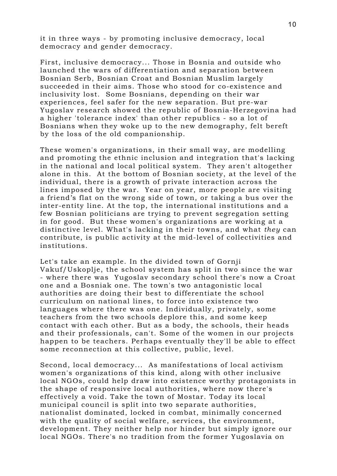it in three ways - by promoting inclusive democracy, local democracy and gender democracy.

First, inclusive democracy... Those in Bosnia and outside who launched the wars of differentiation and separation between Bosnian Serb, Bosnian Croat and Bosnian Muslim largely succeeded in their aims. Those who stood for co-existence and inclusivity lost. Some Bosnians, depending on their war experiences, feel safer for the new separation. But pre-war Yugoslav research showed the republic of Bosnia-Herzegovina had a higher 'tolerance index' than other republics - so a lot of Bosnians when they woke up to the new demography, felt bereft by the loss of the old companionship.

These women's organizations, in their small way, are modelling and promoting the ethnic inclusion and integration that's lacking in the national and local political system. They aren't altogether alone in this. At the bottom of Bosnian society, at the level of the individual, there is a growth of private interaction across the lines imposed by the war. Year on year, more people are visiting a friend's flat on the wrong side of town, or taking a bus over the inter-entity line. At the top, the international institutions and a few Bosnian politicians are trying to prevent segregation setting in for good. But these women's organizations are working at a distinctive level. What's lacking in their towns, and what *they* can contribute, is public activity at the mid-level of collectivities and institutions.

Let's take an example. In the divided town of Gornji Vakuf/Uskoplje, the school system has split in two since the war - where there was Yugoslav secondary school there's now a Croat one and a Bosniak one. The town's two antagonistic local authorities are doing their best to differentiate the school curriculum on national lines, to force into existence two languages where there was one. Individually, privately, some teachers from the two schools deplore this, and some keep contact with each other. But as a body, the schools, their heads and their professionals, can't. Some of the women in our projects happen to be teachers. Perhaps eventually they'll be able to effect some reconnection at this collective, public, level.

Second, local democracy... As manifestations of local activism women's organizations of this kind, along with other inclusive local NGOs, could help draw into existence worthy protagonists in the shape of responsive local authorities, where now there's effectively a void. Take the town of Mostar. Today its local municipal council is split into two separate authorities, nationalist dominated, locked in combat, minimally concerned with the quality of social welfare, services, the environment, development. They neither help nor hinder but simply ignore our local NGOs. There's no tradition from the former Yugoslavia on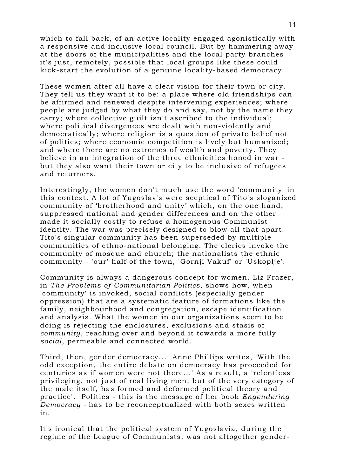which to fall back, of an active locality engaged agonistically with a responsive and inclusive local council. But by hammering away at the doors of the municipalities and the local party branches it's just, remotely, possible that local groups like these could kick-start the evolution of a genuine locality-based democracy.

These women after all have a clear vision for their town or city. They tell us they want it to be: a place where old friendships can be affirmed and renewed despite intervening experiences; where people are judged by what they do and say, not by the name they carry; where collective guilt isn't ascribed to the individual; where political divergences are dealt with non-violently and democratically; where religion is a question of private belief not of politics; where economic competition is lively but humanized; and where there are no extremes of wealth and poverty. They believe in an integration of the three ethnicities honed in war but they also want their town or city to be inclusive of refugees and returners.

Interestingly, the women don't much use the word 'community' in this context. A lot of Yugoslav's were sceptical of Tito's sloganized community of 'brotherhood and unity' which, on the one hand, suppressed national and gender differences and on the other made it socially costly to refuse a homogenous Communist identity. The war was precisely designed to blow all that apart. Tito's singular community has been superseded by multiple communities of ethno-national belonging. The clerics invoke the community of mosque and church; the nationalists the ethnic community - 'our' half of the town, 'Gornji Vakuf' or 'Uskoplje'.

Community is always a dangerous concept for women. Liz Frazer, in *The Problems of Communitarian Politics*, shows how, when 'community' is invoked, social conflicts (especially gender oppression) that are a systematic feature of formations like the family, neighbourhood and congregation, escape identification and analysis. What the women in our organizations seem to be doing is rejecting the enclosures, exclusions and stasis of *community*, reaching over and beyond it towards a more fully *social*, permeable and connected world.

Third, then, gender democracy... Anne Phillips writes, 'With the odd exception, the entire debate on democracy has proceeded for centuries as if women were not there...' As a result, a 'relentless privileging, not just of real living men, but of the very category of the male itself, has formed and deformed political theory and practice'. Politics - this is the message of her book *Engendering Democracy -* has to be reconceptualized with both sexes written in.

It's ironical that the political system of Yugoslavia, during the regime of the League of Communists, was not altogether gender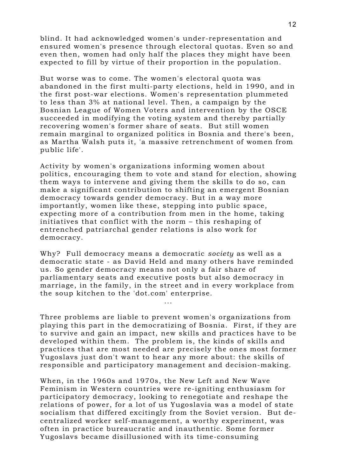blind. It had acknowledged women's under-representation and ensured women's presence through electoral quotas. Even so and even then, women had only half the places they might have been expected to fill by virtue of their proportion in the population.

But worse was to come. The women's electoral quota was abandoned in the first multi-party elections, held in 1990, and in the first post-war elections. Women's representation plummeted to less than 3% at national level. Then, a campaign by the Bosnian League of Women Voters and intervention by the OSCE succeeded in modifying the voting system and thereby partially recovering women's former share of seats. But still women remain marginal to organized politics in Bosnia and there's been, as Martha Walsh puts it, 'a massive retrenchment of women from public life'.

Activity by women's organizations informing women about politics, encouraging them to vote and stand for election, showing them ways to intervene and giving them the skills to do so, can make a significant contribution to shifting an emergent Bosnian democracy towards gender democracy. But in a way more importantly, women like these, stepping into public space, expecting more of a contribution from men in the home, taking initiatives that conflict with the norm – this reshaping of entrenched patriarchal gender relations is also work for democracy.

Why? Full democracy means a democratic *society* as well as a democratic state - as David Held and many others have reminded us. So gender democracy means not only a fair share of parliamentary seats and executive posts but also democracy in marriage, in the family, in the street and in every workplace from the soup kitchen to the 'dot.com' enterprise.

...

Three problems are liable to prevent women's organizations from playing this part in the democratizing of Bosnia. First, if they are to survive and gain an impact, new skills and practices have to be developed within them. The problem is, the kinds of skills and practices that are most needed are precisely the ones most former Yugoslavs just don't want to hear any more about: the skills of responsible and participatory management and decision-making.

When, in the 1960s and 1970s, the New Left and New Wave Feminism in Western countries were re-igniting enthusiasm for participatory democracy, looking to renegotiate and reshape the relations of power, for a lot of us Yugoslavia was a model of state socialism that differed excitingly from the Soviet version. But decentralized worker self-management, a worthy experiment, was often in practice bureaucratic and inauthentic. Some former Yugoslavs became disillusioned with its time-consuming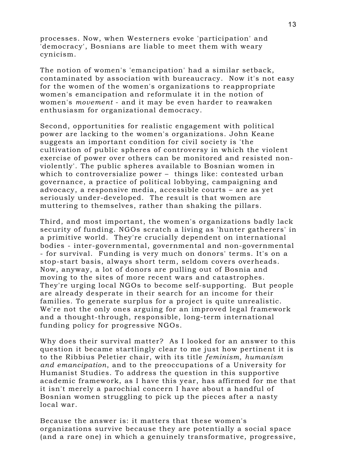processes. Now, when Westerners evoke 'participation' and 'democracy', Bosnians are liable to meet them with weary cynicism.

The notion of women's 'emancipation' had a similar setback, contaminated by association with bureaucracy. Now it's not easy for the women of the women's organizations to reappropriate women's emancipation and reformulate it in the notion of women's *movement* - and it may be even harder to reawaken enthusiasm for organizational democracy.

Second, opportunities for realistic engagement with political power are lacking to the women's organizations. John Keane suggests an important condition for civil society is 'the cultivation of public spheres of controversy in which the violent exercise of power over others can be monitored and resisted nonviolently'. The public spheres available to Bosnian women in which to controversialize power – things like: contested urban governance, a practice of political lobbying, campaigning and advocacy, a responsive media, accessible courts – are as yet seriously under-developed. The result is that women are muttering to themselves, rather than shaking the pillars.

Third, and most important, the women's organizations badly lack security of funding. NGOs scratch a living as 'hunter gatherers' in a primitive world. They're crucially dependent on international bodies - inter-governmental, governmental and non-governmental - for survival. Funding is very much on donors' terms. It's on a stop-start basis, always short term, seldom covers overheads. Now, anyway, a lot of donors are pulling out of Bosnia and moving to the sites of more recent wars and catastrophes. They're urging local NGOs to become self-supporting. But people are already desperate in their search for an income for their families. To generate surplus for a project is quite unrealistic. We're not the only ones arguing for an improved legal framework and a thought-through, responsible, long-term international funding policy for progressive NGOs.

Why does their survival matter? As I looked for an answer to this question it became startlingly clear to me just how pertinent it is to the Ribbius Peletier chair, with its title *feminism, humanism and emancipation*, and to the preoccupations of a University for Humanist Studies. To address the question in this supportive academic framework, as I have this year, has affirmed for me that it isn't merely a parochial concern I have about a handful of Bosnian women struggling to pick up the pieces after a nasty local war.

Because the answer is: it matters that these women's organizations survive because they are potentially a social space (and a rare one) in which a genuinely transformative, progressive,